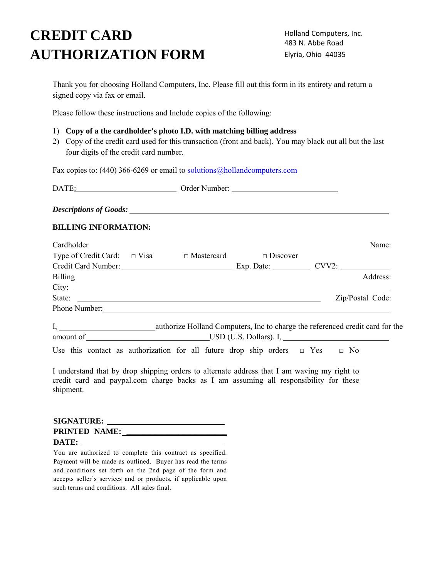# **CREDIT CARD AUTHORIZATION FORM**

Holland Computers, Inc. 483 N. Abbe Road Elyria, Ohio 44035

Thank you for choosing Holland Computers, Inc. Please fill out this form in its entirety and return a signed copy via fax or email.

Please follow these instructions and Include copies of the following:

# 1) **Copy of a the cardholder's photo I.D. with matching billing address**

2) Copy of the credit card used for this transaction (front and back). You may black out all but the last four digits of the credit card number.

Fax copies to: (440) 366-6269 or email to solutions@hollandcomputers.com

| DATE:                         | Order Number: |  |
|-------------------------------|---------------|--|
| <b>Descriptions of Goods:</b> |               |  |
| <b>BILLING INFORMATION:</b>   |               |  |

| Cardholder                                                                             |  |  | Name:            |
|----------------------------------------------------------------------------------------|--|--|------------------|
| Type of Credit Card: $\Box$ Visa $\Box$ Mastercard $\Box$ Discover                     |  |  |                  |
| Credit Card Number: Exp. Date: CVV2:                                                   |  |  |                  |
| <b>Billing</b>                                                                         |  |  | Address:         |
|                                                                                        |  |  |                  |
| State:                                                                                 |  |  | Zip/Postal Code: |
| Phone Number:                                                                          |  |  |                  |
| I, authorize Holland Computers, Inc to charge the referenced credit card for the       |  |  |                  |
| Use this contact as authorization for all future drop ship orders $\Box$ Yes $\Box$ No |  |  |                  |

I understand that by drop shipping orders to alternate address that I am waving my right to credit card and paypal.com charge backs as I am assuming all responsibility for these shipment.

| <b>SIGNATURE:</b>    |  |
|----------------------|--|
| <b>PRINTED NAME:</b> |  |
| DATE:                |  |

You are authorized to complete this contract as specified. Payment will be made as outlined. Buyer has read the terms and conditions set forth on the 2nd page of the form and accepts seller's services and or products, if applicable upon such terms and conditions. All sales final.